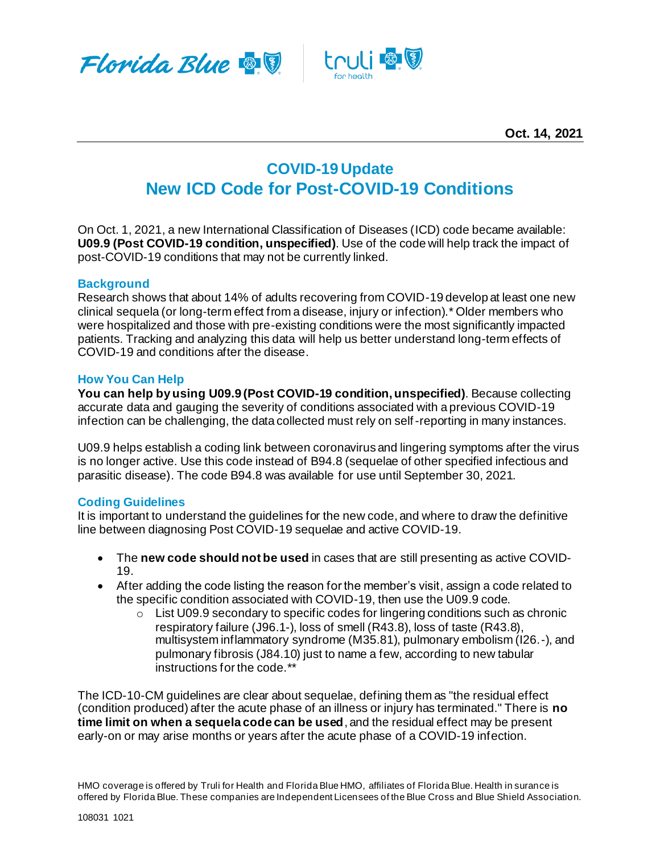



# **COVID-19 Update New ICD Code for Post-COVID-19 Conditions**

On Oct. 1, 2021, a new International Classification of Diseases (ICD) code became available: **U09.9 (Post COVID-19 condition, unspecified)**. Use of the code will help track the impact of post-COVID-19 conditions that may not be currently linked.

### **Background**

Research shows that about 14% of adults recovering from COVID-19 develop at least one new clinical sequela (or long-term effect from a disease, injury or infection).\* Older members who were hospitalized and those with pre-existing conditions were the most significantly impacted patients. Tracking and analyzing this data will help us better understand long-term effects of COVID-19 and conditions after the disease.

### **How You Can Help**

**You can help by using U09.9 (Post COVID-19 condition, unspecified)**. Because collecting accurate data and gauging the severity of conditions associated with a previous COVID-19 infection can be challenging, the data collected must rely on self-reporting in many instances.

U09.9 helps establish a coding link between coronavirus and lingering symptoms after the virus is no longer active. Use this code instead of B94.8 (sequelae of other specified infectious and parasitic disease). The code B94.8 was available for use until September 30, 2021.

## **Coding Guidelines**

It is important to understand the guidelines for the new code, and where to draw the definitive line between diagnosing Post COVID-19 sequelae and active COVID-19.

- The **new code should not be used** in cases that are still presenting as active COVID-19.
- After adding the code listing the reason for the member's visit, assign a code related to the specific condition associated with COVID-19, then use the U09.9 code.
	- $\circ$  List U09.9 secondary to specific codes for lingering conditions such as chronic respiratory failure (J96.1-), loss of smell (R43.8), loss of taste (R43.8), multisystem inflammatory syndrome (M35.81), pulmonary embolism (I26.-), and pulmonary fibrosis (J84.10) just to name a few, according to new tabular instructions for the code.\*\*

The ICD-10-CM guidelines are clear about sequelae, defining them as "the residual effect (condition produced) after the acute phase of an illness or injury has terminated." There is **no time limit on when a sequela code can be used**, and the residual effect may be present early-on or may arise months or years after the acute phase of a COVID-19 infection.

HMO coverage is offered by Truli for Health and Florida Blue HMO, affiliates of Florida Blue. Health in surance is offered by Florida Blue. These companies are Independent Licensees of the Blue Cross and Blue Shield Association.